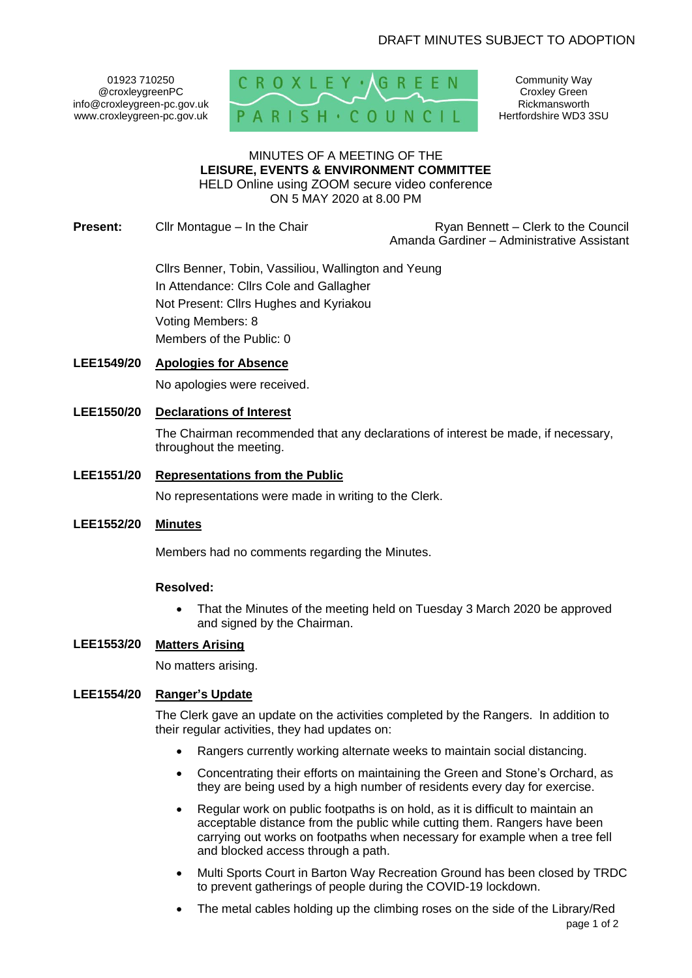01923 710250 @croxleygreenPC info@croxleygreen-pc.gov.uk www.croxleygreen-pc.gov.uk



Community Way Croxley Green Rickmansworth Hertfordshire WD3 3SU

#### MINUTES OF A MEETING OF THE **LEISURE, EVENTS & ENVIRONMENT COMMITTEE** HELD Online using ZOOM secure video conference

ON 5 MAY 2020 at 8.00 PM

**Present:** Cllr Montague – In the Chair **Ryan Bennett** – Clerk to the Council Amanda Gardiner – Administrative Assistant

> Cllrs Benner, Tobin, Vassiliou, Wallington and Yeung In Attendance: Cllrs Cole and Gallagher Not Present: Cllrs Hughes and Kyriakou Voting Members: 8 Members of the Public: 0

# **LEE1549/20 Apologies for Absence**

No apologies were received.

## **LEE1550/20 Declarations of Interest**

The Chairman recommended that any declarations of interest be made, if necessary, throughout the meeting.

## **LEE1551/20 Representations from the Public**

No representations were made in writing to the Clerk.

### **LEE1552/20 Minutes**

Members had no comments regarding the Minutes.

### **Resolved:**

• That the Minutes of the meeting held on Tuesday 3 March 2020 be approved and signed by the Chairman.

# **LEE1553/20 Matters Arising**

No matters arising.

#### **LEE1554/20 Ranger's Update**

The Clerk gave an update on the activities completed by the Rangers. In addition to their regular activities, they had updates on:

- Rangers currently working alternate weeks to maintain social distancing.
- Concentrating their efforts on maintaining the Green and Stone's Orchard, as they are being used by a high number of residents every day for exercise.
- Regular work on public footpaths is on hold, as it is difficult to maintain an acceptable distance from the public while cutting them. Rangers have been carrying out works on footpaths when necessary for example when a tree fell and blocked access through a path.
- Multi Sports Court in Barton Way Recreation Ground has been closed by TRDC to prevent gatherings of people during the COVID-19 lockdown.
- page 1 of 2 The metal cables holding up the climbing roses on the side of the Library/Red